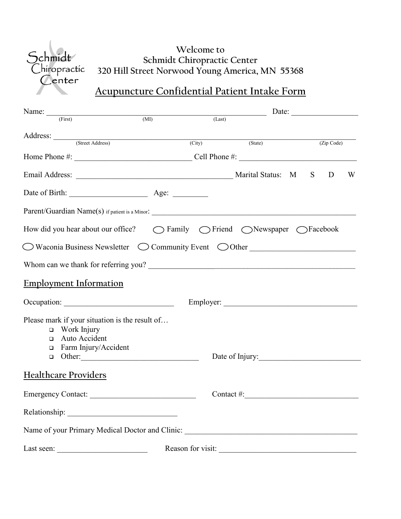

### **Welcome to Schmidt Chiropractic Center 320 Hill Street Norwood Young America, MN 55368**

# **Acupuncture Confidential Patient Intake Form**

| Name: $\frac{1}{(First)}$                                                                                          | (MI) | $(Last)$              |  |            |   |
|--------------------------------------------------------------------------------------------------------------------|------|-----------------------|--|------------|---|
| Address: <u>Contract Address</u>                                                                                   |      | (City) (State)        |  | (Zip Code) |   |
|                                                                                                                    |      |                       |  |            |   |
|                                                                                                                    |      |                       |  |            |   |
| Email Address: N S                                                                                                 |      |                       |  | D          | W |
| Date of Birth: <u>_______________________</u> Age: __________                                                      |      |                       |  |            |   |
|                                                                                                                    |      |                       |  |            |   |
| How did you hear about our office?<br>$\bigcirc$ Family $\bigcirc$ Friend $\bigcirc$ Newspaper $\bigcirc$ Facebook |      |                       |  |            |   |
| $\bigcirc$ Waconia Business Newsletter $\bigcirc$ Community Event $\bigcirc$ Other                                 |      |                       |  |            |   |
|                                                                                                                    |      |                       |  |            |   |
| <b>Employment Information</b>                                                                                      |      |                       |  |            |   |
|                                                                                                                    |      |                       |  |            |   |
| Please mark if your situation is the result of                                                                     |      |                       |  |            |   |
| $\Box$ Work Injury                                                                                                 |      |                       |  |            |   |
| Auto Accident<br>o.                                                                                                |      |                       |  |            |   |
| Farm Injury/Accident<br>▫                                                                                          |      |                       |  |            |   |
|                                                                                                                    |      | Date of Injury:       |  |            |   |
| <b>Healthcare Providers</b>                                                                                        |      |                       |  |            |   |
| Emergency Contact:                                                                                                 |      | $\text{Context} \#$ : |  |            |   |
|                                                                                                                    |      |                       |  |            |   |
| Name of your Primary Medical Doctor and Clinic: _________________________________                                  |      |                       |  |            |   |
|                                                                                                                    |      | Reason for visit:     |  |            |   |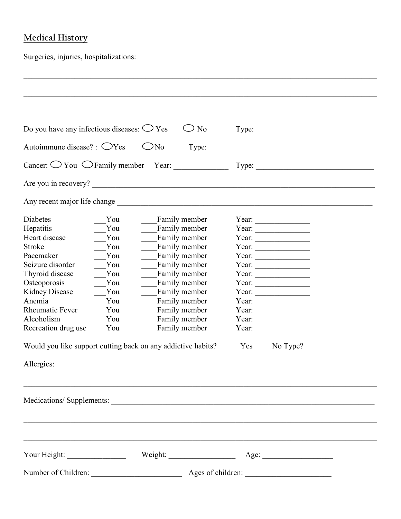### **Medical History**

Surgeries, injuries, hospitalizations:

| Do you have any infectious diseases: $\bigcirc$ Yes |     | $\bigcirc$ No                                                                        |                                                                                                                                                                                                                                                                                                                                                                                                                                                   |  |
|-----------------------------------------------------|-----|--------------------------------------------------------------------------------------|---------------------------------------------------------------------------------------------------------------------------------------------------------------------------------------------------------------------------------------------------------------------------------------------------------------------------------------------------------------------------------------------------------------------------------------------------|--|
| Autoimmune disease? : $\bigcirc$ Yes                |     | $\bigcirc$ No                                                                        | Type:                                                                                                                                                                                                                                                                                                                                                                                                                                             |  |
|                                                     |     | Cancer: $\bigcirc$ You $\bigcirc$ Family member Year: $\qquad \qquad$                | Type:                                                                                                                                                                                                                                                                                                                                                                                                                                             |  |
|                                                     |     | Are you in recovery?                                                                 |                                                                                                                                                                                                                                                                                                                                                                                                                                                   |  |
| Any recent major life change                        |     |                                                                                      |                                                                                                                                                                                                                                                                                                                                                                                                                                                   |  |
| <b>Diabetes</b>                                     | You | Family member                                                                        | Year: $\qquad \qquad$                                                                                                                                                                                                                                                                                                                                                                                                                             |  |
| Hepatitis                                           | You | Family member                                                                        | Year: $\qquad \qquad$                                                                                                                                                                                                                                                                                                                                                                                                                             |  |
| Heart disease                                       | You | Family member                                                                        | Year: $\qquad \qquad$                                                                                                                                                                                                                                                                                                                                                                                                                             |  |
| <b>Stroke</b>                                       | You | Family member                                                                        | Year: $\qquad \qquad$                                                                                                                                                                                                                                                                                                                                                                                                                             |  |
| Pacemaker                                           | You | Family member                                                                        | Year: $\qquad \qquad$                                                                                                                                                                                                                                                                                                                                                                                                                             |  |
| Seizure disorder                                    | You | Family member                                                                        | Year: $\qquad \qquad$                                                                                                                                                                                                                                                                                                                                                                                                                             |  |
| Thyroid disease                                     | You | Family member                                                                        | Year: $\qquad \qquad$                                                                                                                                                                                                                                                                                                                                                                                                                             |  |
| Osteoporosis                                        | You | Family member                                                                        | Year: $\qquad \qquad$                                                                                                                                                                                                                                                                                                                                                                                                                             |  |
| <b>Kidney Disease</b>                               | You | Family member                                                                        | Year: $\qquad \qquad$                                                                                                                                                                                                                                                                                                                                                                                                                             |  |
| Anemia                                              | You | Family member                                                                        | Year: $\qquad \qquad$                                                                                                                                                                                                                                                                                                                                                                                                                             |  |
| <b>Rheumatic Fever</b>                              | You | Family member                                                                        | Year: $\qquad \qquad$                                                                                                                                                                                                                                                                                                                                                                                                                             |  |
| Alcoholism                                          | You | Family member                                                                        | Year: $\frac{1}{\sqrt{1-\frac{1}{2}} \cdot \frac{1}{2} \cdot \frac{1}{2} \cdot \frac{1}{2} \cdot \frac{1}{2} \cdot \frac{1}{2} \cdot \frac{1}{2} \cdot \frac{1}{2} \cdot \frac{1}{2} \cdot \frac{1}{2} \cdot \frac{1}{2} \cdot \frac{1}{2} \cdot \frac{1}{2} \cdot \frac{1}{2} \cdot \frac{1}{2} \cdot \frac{1}{2} \cdot \frac{1}{2} \cdot \frac{1}{2} \cdot \frac{1}{2} \cdot \frac{1}{2} \cdot \frac{1}{2} \cdot \frac{1}{2} \cdot \frac{1}{2}$ |  |
| Recreation drug use                                 | You | Family member                                                                        | Year: $\qquad \qquad$                                                                                                                                                                                                                                                                                                                                                                                                                             |  |
|                                                     |     | Would you like support cutting back on any addictive habits? _____ Yes ____ No Type? |                                                                                                                                                                                                                                                                                                                                                                                                                                                   |  |
| Allergies:                                          |     |                                                                                      |                                                                                                                                                                                                                                                                                                                                                                                                                                                   |  |
|                                                     |     |                                                                                      |                                                                                                                                                                                                                                                                                                                                                                                                                                                   |  |
|                                                     |     | Medications/Supplements:                                                             |                                                                                                                                                                                                                                                                                                                                                                                                                                                   |  |
|                                                     |     |                                                                                      |                                                                                                                                                                                                                                                                                                                                                                                                                                                   |  |
|                                                     |     |                                                                                      |                                                                                                                                                                                                                                                                                                                                                                                                                                                   |  |
|                                                     |     |                                                                                      |                                                                                                                                                                                                                                                                                                                                                                                                                                                   |  |

 $\mathcal{L}_\mathcal{L} = \{ \mathcal{L}_\mathcal{L} = \{ \mathcal{L}_\mathcal{L} = \{ \mathcal{L}_\mathcal{L} = \{ \mathcal{L}_\mathcal{L} = \{ \mathcal{L}_\mathcal{L} = \{ \mathcal{L}_\mathcal{L} = \{ \mathcal{L}_\mathcal{L} = \{ \mathcal{L}_\mathcal{L} = \{ \mathcal{L}_\mathcal{L} = \{ \mathcal{L}_\mathcal{L} = \{ \mathcal{L}_\mathcal{L} = \{ \mathcal{L}_\mathcal{L} = \{ \mathcal{L}_\mathcal{L} = \{ \mathcal{L}_\mathcal{$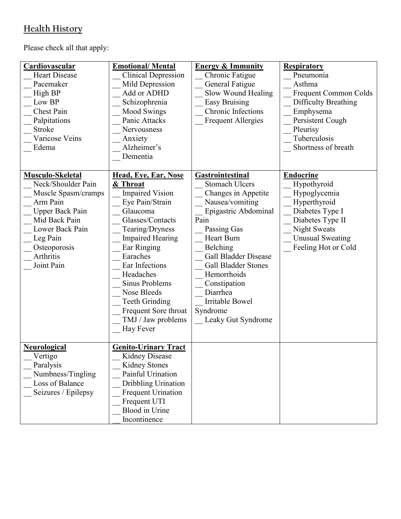## **Health History**

Please check all that apply:

| Cardiovascular<br><b>Heart Disease</b><br>Pacemaker<br>High BP<br>Low BP<br><b>Chest Pain</b><br>Palpitations<br><b>Stroke</b><br>Varicose Veins<br>Edema                                      | <b>Emotional/Mental</b><br><b>Clinical Depression</b><br>Mild Depression<br>Add or ADHD<br>Schizophrenia<br><b>Mood Swings</b><br>Panic Attacks<br><b>Nervousness</b><br>Anxiety<br>Alzheimer's<br>Dementia                                                                                                                                              | <b>Energy &amp; Immunity</b><br>Chronic Fatigue<br>General Fatigue<br>Slow Wound Healing<br><b>Easy Bruising</b><br>Chronic Infections<br><b>Frequent Allergies</b>                                                                                                                                                                            | <b>Respiratory</b><br>Pneumonia<br>Asthma<br><b>Frequent Common Colds</b><br><b>Difficulty Breathing</b><br>Emphysema<br>Persistent Cough<br>Pleurisy<br>Tuberculosis<br>Shortness of breath |
|------------------------------------------------------------------------------------------------------------------------------------------------------------------------------------------------|----------------------------------------------------------------------------------------------------------------------------------------------------------------------------------------------------------------------------------------------------------------------------------------------------------------------------------------------------------|------------------------------------------------------------------------------------------------------------------------------------------------------------------------------------------------------------------------------------------------------------------------------------------------------------------------------------------------|----------------------------------------------------------------------------------------------------------------------------------------------------------------------------------------------|
| Musculo-Skeletal<br>Neck/Shoulder Pain<br>Muscle Spasm/cramps<br>Arm Pain<br><b>Upper Back Pain</b><br>Mid Back Pain<br>Lower Back Pain<br>Leg Pain<br>Osteoporosis<br>Arthritis<br>Joint Pain | Head, Eye, Ear, Nose<br>& Throat<br><b>Impaired Vision</b><br>Eye Pain/Strain<br>Glaucoma<br>Glasses/Contacts<br>Tearing/Dryness<br><b>Impaired Hearing</b><br>Ear Ringing<br>Earaches<br>Ear Infections<br>Headaches<br><b>Sinus Problems</b><br>Nose Bleeds<br><b>Teeth Grinding</b><br>Frequent Sore throat<br>TMJ / Jaw problems<br><b>Hay Fever</b> | <b>Gastrointestinal</b><br><b>Stomach Ulcers</b><br>Changes in Appetite<br>Nausea/vomiting<br>Epigastric Abdominal<br>Pain<br>Passing Gas<br><b>Heart Burn</b><br>Belching<br><b>Gall Bladder Disease</b><br><b>Gall Bladder Stones</b><br>Hemorrhoids<br>Constipation<br>Diarrhea<br><b>Irritable Bowel</b><br>Syndrome<br>Leaky Gut Syndrome | <b>Endocrine</b><br>Hypothyroid<br>Hypoglycemia<br>Hyperthyroid<br>Diabetes Type I<br>Diabetes Type II<br><b>Night Sweats</b><br><b>Unusual Sweating</b><br>Feeling Hot or Cold              |
| <b>Neurological</b><br>Vertigo<br>Paralysis<br>Numbness/Tingling<br>Loss of Balance<br>Seizures / Epilepsy                                                                                     | <b>Genito-Urinary Tract</b><br>Kidney Disease<br><b>Kidney Stones</b><br>Painful Urination<br>Dribbling Urination<br><b>Frequent Urination</b><br>Frequent UTI<br><b>Blood</b> in Urine<br>Incontinence                                                                                                                                                  |                                                                                                                                                                                                                                                                                                                                                |                                                                                                                                                                                              |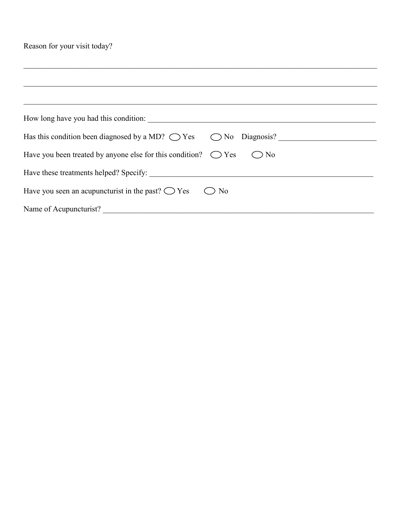Reason for your visit today?

|                        | How long have you had this condition:                                                     |
|------------------------|-------------------------------------------------------------------------------------------|
|                        | Has this condition been diagnosed by a MD? $\bigcirc$ Yes $\bigcirc$ No Diagnosis?        |
|                        | Have you been treated by anyone else for this condition? $\bigcirc$ Yes<br>N <sub>0</sub> |
|                        |                                                                                           |
|                        | Have you seen an acupuncturist in the past? $\bigcirc$ Yes<br>N <sub>o</sub>              |
| Name of Acupuncturist? |                                                                                           |

 $\mathcal{L}_\mathcal{L} = \{ \mathcal{L}_\mathcal{L} = \{ \mathcal{L}_\mathcal{L} = \{ \mathcal{L}_\mathcal{L} = \{ \mathcal{L}_\mathcal{L} = \{ \mathcal{L}_\mathcal{L} = \{ \mathcal{L}_\mathcal{L} = \{ \mathcal{L}_\mathcal{L} = \{ \mathcal{L}_\mathcal{L} = \{ \mathcal{L}_\mathcal{L} = \{ \mathcal{L}_\mathcal{L} = \{ \mathcal{L}_\mathcal{L} = \{ \mathcal{L}_\mathcal{L} = \{ \mathcal{L}_\mathcal{L} = \{ \mathcal{L}_\mathcal{$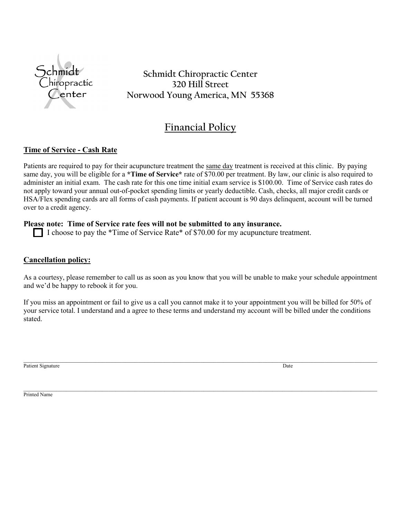

**Schmidt Chiropractic Center 320 Hill Street Norwood Young America, MN 55368**

### **Financial Policy**

#### **Time of Service - Cash Rate**

Patients are required to pay for their acupuncture treatment the same day treatment is received at this clinic. By paying same day, you will be eligible for a **\*Time of Service\*** rate of \$70.00 per treatment. By law, our clinic is also required to administer an initial exam. The cash rate for this one time initial exam service is \$100.00. Time of Service cash rates do not apply toward your annual out-of-pocket spending limits or yearly deductible. Cash, checks, all major credit cards or HSA/Flex spending cards are all forms of cash payments. If patient account is 90 days delinquent, account will be turned over to a credit agency.

#### **Please note: Time of Service rate fees will not be submitted to any insurance.**

I choose to pay the \*Time of Service Rate\* of \$70.00 for my acupuncture treatment.

#### **Cancellation policy:**

As a courtesy, please remember to call us as soon as you know that you will be unable to make your schedule appointment and we'd be happy to rebook it for you.

If you miss an appointment or fail to give us a call you cannot make it to your appointment you will be billed for 50% of your service total. I understand and a agree to these terms and understand my account will be billed under the conditions stated.

\_\_\_\_\_\_\_\_\_\_\_\_\_\_\_\_\_\_\_\_\_\_\_\_\_\_\_\_\_\_\_\_\_\_\_\_\_\_\_\_\_\_\_\_\_\_\_\_\_\_\_\_\_\_\_\_\_\_\_\_\_\_\_\_\_\_\_\_\_\_\_\_\_\_\_\_\_\_\_\_\_\_\_\_\_\_\_\_\_\_\_\_\_\_\_\_\_\_\_\_\_\_\_\_\_\_\_\_

 $\mathcal{L}_\mathcal{L} = \mathcal{L}_\mathcal{L} = \mathcal{L}_\mathcal{L} = \mathcal{L}_\mathcal{L} = \mathcal{L}_\mathcal{L} = \mathcal{L}_\mathcal{L} = \mathcal{L}_\mathcal{L} = \mathcal{L}_\mathcal{L} = \mathcal{L}_\mathcal{L} = \mathcal{L}_\mathcal{L} = \mathcal{L}_\mathcal{L} = \mathcal{L}_\mathcal{L} = \mathcal{L}_\mathcal{L} = \mathcal{L}_\mathcal{L} = \mathcal{L}_\mathcal{L} = \mathcal{L}_\mathcal{L} = \mathcal{L}_\mathcal{L}$ Patient Signature Date News 2014

Printed Name